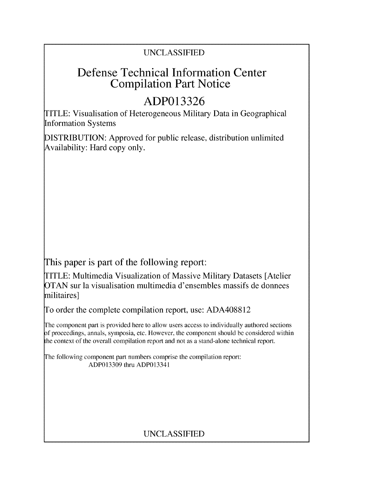## UNCLASSIFIED

## **Defense Technical Information Center Compilation Part Notice**

# **ADP013326**

TITLE: Visualisation of Heterogeneous Military Data in Geographical Information Systems

DISTRIBUTION: Approved for public release, distribution unlimited Availability: Hard copy only.

This paper is part of the following report:

TITLE: Multimedia Visualization of Massive Military Datasets [Atelier OTAN sur la visualisation multimedia d'ensembles massifs de donnees militaires]

To order the complete compilation report, use: ADA408812

The component part is provided here to allow users access to individually authored sections **)f** proceedings, annals, symposia, etc. However, the component should be considered within [he context of the overall compilation report and not as a stand-alone technical report.

The following component part numbers comprise the compilation report: ADP013309 thru ADP013341

## UNCLASSIFIED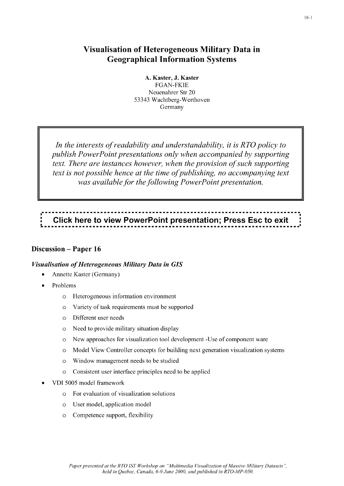#### **Visualisation of Heterogeneous Military Data in Geographical Information Systems**

**A. Kaster, J. Kaster FGAN-FKIE** Neuenahrer Str 20 **53343** Wachtberg-Werthoven Germany

*In the interests of readability and understandability, it is R TO policy to publish PowerPoint presentations only when accompanied by supporting text. There are instances however, when the provision of such supporting text is not possible hence at the time of publishing, no accompanying text was available for the following PowerPoint presentation.*

# **Click here to view PowerPoint presentation; Press Esc to exit**

#### **Discussion - Paper 16**

#### *Visualisation of Heterogeneous Military Data in GIS*

- Annette Kaster (Germany)
- Problems
	- o Heterogeneous information environment
	- o Variety of task requirements must be supported
	- o Different user needs
	- o Need to provide military situation display
	- o New approaches for visualization tool development -Use of component ware
	- o Model View Controller concepts for building next generation visualization systems
	- o Window management needs to be studied
	- o Consistent user interface principles need to be applied
- VDI **5005** model framework
	- o For evaluation of visualization solutions
	- o User model, application model
	- o Competence support, flexibility